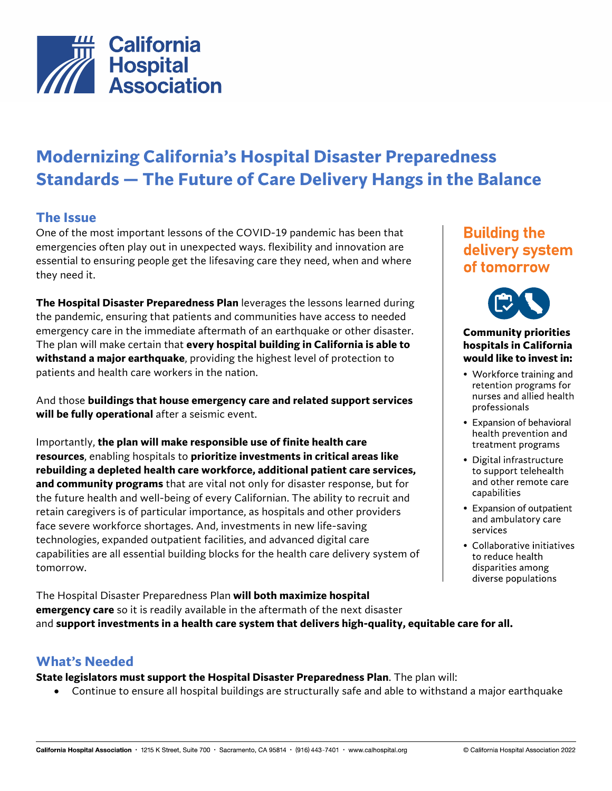

# **Modernizing California's Hospital Disaster Preparedness Standards — The Future of Care Delivery Hangs in the Balance**

### **The Issue**

One of the most important lessons of the COVID-19 pandemic has been that emergencies often play out in unexpected ways. flexibility and innovation are essential to ensuring people get the lifesaving care they need, when and where they need it.

**The Hospital Disaster Preparedness Plan** leverages the lessons learned during the pandemic, ensuring that patients and communities have access to needed emergency care in the immediate aftermath of an earthquake or other disaster. The plan will make certain that **every hospital building in California is able to withstand a major earthquake**, providing the highest level of protection to patients and health care workers in the nation.

And those **buildings that house emergency care and related support services will be fully operational** after a seismic event.

Importantly, **the plan will make responsible use of finite health care resources**, enabling hospitals to **prioritize investments in critical areas like rebuilding a depleted health care workforce, additional patient care services, and community programs** that are vital not only for disaster response, but for the future health and well-being of every Californian. The ability to recruit and retain caregivers is of particular importance, as hospitals and other providers face severe workforce shortages. And, investments in new life-saving technologies, expanded outpatient facilities, and advanced digital care capabilities are all essential building blocks for the health care delivery system of tomorrow.

The Hospital Disaster Preparedness Plan **will both maximize hospital emergency care** so it is readily available in the aftermath of the next disaster and **support investments in a health care system that delivers high-quality, equitable care for all.**

#### **What's Needed**

**State legislators must support the Hospital Disaster Preparedness Plan**. The plan will:

• Continue to ensure all hospital buildings are structurally safe and able to withstand a major earthquake

## **Building the** delivery system of tomorrow



#### **Community priorities** hospitals in California would like to invest in:

- Workforce training and retention programs for nurses and allied health professionals
- Expansion of behavioral health prevention and treatment programs
- Digital infrastructure to support telehealth and other remote care capabilities
- Expansion of outpatient and ambulatory care services
- Collaborative initiatives to reduce health disparities among diverse populations